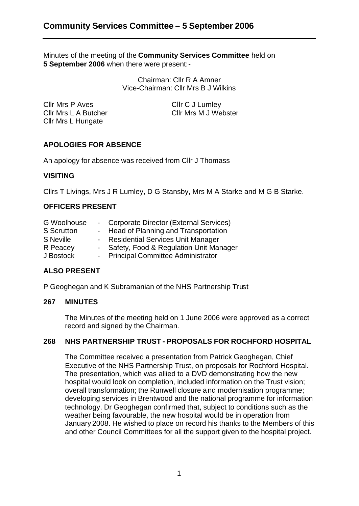Minutes of the meeting of the **Community Services Committee** held on **5 September 2006** when there were present:-

> Chairman: Cllr R A Amner Vice-Chairman: Cllr Mrs B J Wilkins

Cllr Mrs P Aves Cllr C J Lumley Cllr Mrs L A Butcher Cllr Mrs M J Webster Cllr Mrs L Hungate

# **APOLOGIES FOR ABSENCE**

An apology for absence was received from Cllr J Thomass

# **VISITING**

Cllrs T Livings, Mrs J R Lumley, D G Stansby, Mrs M A Starke and M G B Starke.

# **OFFICERS PRESENT**

| <b>G</b> Woolhouse | - Corporate Director (External Services) |
|--------------------|------------------------------------------|
| <b>S</b> Scrutton  | - Head of Planning and Transportation    |
| S Neville          | - Residential Services Unit Manager      |
| R Peacey           | - Safety, Food & Regulation Unit Manager |
| J Bostock          | - Principal Committee Administrator      |

# **ALSO PRESENT**

P Geoghegan and K Subramanian of the NHS Partnership Trust

#### **267 MINUTES**

The Minutes of the meeting held on 1 June 2006 were approved as a correct record and signed by the Chairman.

# **268 NHS PARTNERSHIP TRUST - PROPOSALS FOR ROCHFORD HOSPITAL**

The Committee received a presentation from Patrick Geoghegan, Chief Executive of the NHS Partnership Trust, on proposals for Rochford Hospital. The presentation, which was allied to a DVD demonstrating how the new hospital would look on completion, included information on the Trust vision; overall transformation; the Runwell closure a nd modernisation programme; developing services in Brentwood and the national programme for information technology. Dr Geoghegan confirmed that, subject to conditions such as the weather being favourable, the new hospital would be in operation from January 2008. He wished to place on record his thanks to the Members of this and other Council Committees for all the support given to the hospital project.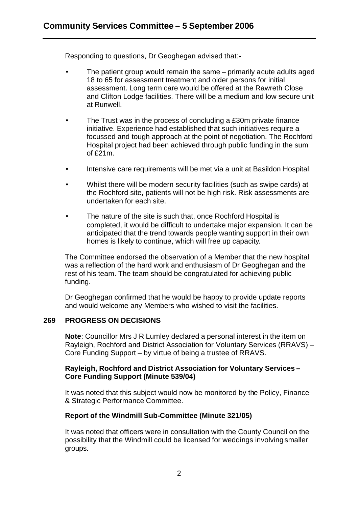Responding to questions, Dr Geoghegan advised that:-

- The patient group would remain the same primarily acute adults aged 18 to 65 for assessment treatment and older persons for initial assessment. Long term care would be offered at the Rawreth Close and Clifton Lodge facilities. There will be a medium and low secure unit at Runwell.
- The Trust was in the process of concluding a £30m private finance initiative. Experience had established that such initiatives require a focussed and tough approach at the point of negotiation. The Rochford Hospital project had been achieved through public funding in the sum of £21m.
- Intensive care requirements will be met via a unit at Basildon Hospital.
- Whilst there will be modern security facilities (such as swipe cards) at the Rochford site, patients will not be high risk. Risk assessments are undertaken for each site.
- The nature of the site is such that, once Rochford Hospital is completed, it would be difficult to undertake major expansion. It can be anticipated that the trend towards people wanting support in their own homes is likely to continue, which will free up capacity.

The Committee endorsed the observation of a Member that the new hospital was a reflection of the hard work and enthusiasm of Dr Geoghegan and the rest of his team. The team should be congratulated for achieving public funding.

Dr Geoghegan confirmed that he would be happy to provide update reports and would welcome any Members who wished to visit the facilities.

# **269 PROGRESS ON DECISIONS**

**Note**: Councillor Mrs J R Lumley declared a personal interest in the item on Rayleigh, Rochford and District Association for Voluntary Services (RRAVS) – Core Funding Support – by virtue of being a trustee of RRAVS.

# **Rayleigh, Rochford and District Association for Voluntary Services – Core Funding Support (Minute 539/04)**

It was noted that this subject would now be monitored by the Policy, Finance & Strategic Performance Committee.

# **Report of the Windmill Sub-Committee (Minute 321/05)**

It was noted that officers were in consultation with the County Council on the possibility that the Windmill could be licensed for weddings involving smaller groups.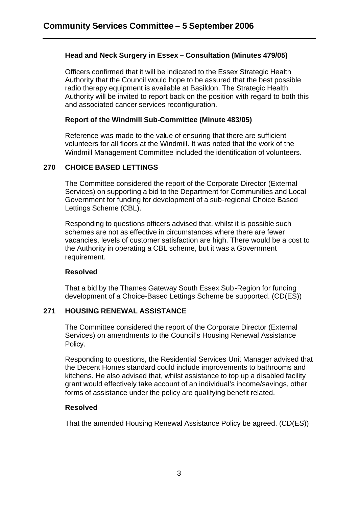# **Head and Neck Surgery in Essex – Consultation (Minutes 479/05)**

Officers confirmed that it will be indicated to the Essex Strategic Health Authority that the Council would hope to be assured that the best possible radio therapy equipment is available at Basildon. The Strategic Health Authority will be invited to report back on the position with regard to both this and associated cancer services reconfiguration.

# **Report of the Windmill Sub-Committee (Minute 483/05)**

Reference was made to the value of ensuring that there are sufficient volunteers for all floors at the Windmill. It was noted that the work of the Windmill Management Committee included the identification of volunteers.

# **270 CHOICE BASED LETTINGS**

The Committee considered the report of the Corporate Director (External Services) on supporting a bid to the Department for Communities and Local Government for funding for development of a sub-regional Choice Based Lettings Scheme (CBL).

Responding to questions officers advised that, whilst it is possible such schemes are not as effective in circumstances where there are fewer vacancies, levels of customer satisfaction are high. There would be a cost to the Authority in operating a CBL scheme, but it was a Government requirement.

# **Resolved**

That a bid by the Thames Gateway South Essex Sub-Region for funding development of a Choice-Based Lettings Scheme be supported. (CD(ES))

# **271 HOUSING RENEWAL ASSISTANCE**

The Committee considered the report of the Corporate Director (External Services) on amendments to the Council's Housing Renewal Assistance Policy.

Responding to questions, the Residential Services Unit Manager advised that the Decent Homes standard could include improvements to bathrooms and kitchens. He also advised that, whilst assistance to top up a disabled facility grant would effectively take account of an individual's income/savings, other forms of assistance under the policy are qualifying benefit related.

# **Resolved**

That the amended Housing Renewal Assistance Policy be agreed. (CD(ES))